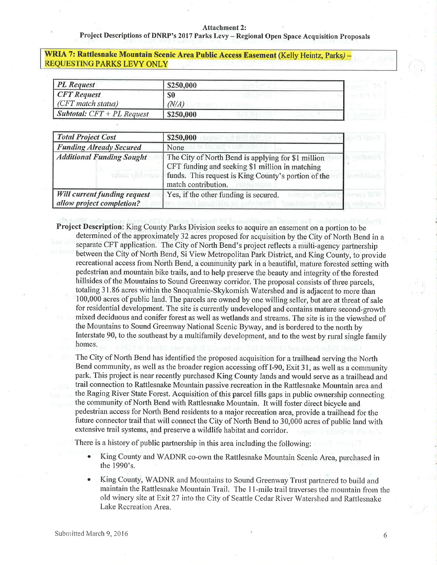# Project Descriptions of DNRP's 2017 Parks Levy - Regional Open Space Acquisition Proposals

# WRIA 7: Rattlesnake Mountain Scenic Area Public Access Easement (Kelly Heintz, Parks) - REQUESTING PARKS LEVY ONLY

| <b>PL</b> Request                   | \$250,000 |
|-------------------------------------|-----------|
| $CFT$ Request                       | S0        |
| $\vert$ (CFT match status)          | (N/A)     |
| <i>Subtotal:</i> $CFT + PL$ Request | \$250,000 |

| <b>Total Project Cost</b>                                        | \$250,000                                                                                                                                                                           |  |
|------------------------------------------------------------------|-------------------------------------------------------------------------------------------------------------------------------------------------------------------------------------|--|
| <b>Funding Already Secured</b>                                   | None                                                                                                                                                                                |  |
| <b>Additional Funding Sought</b>                                 | The City of North Bend is applying for \$1 million<br>CFT funding and seeking \$1 million in matching<br>funds. This request is King County's portion of the<br>match contribution. |  |
| <b>Will current funding request</b><br>allow project completion? | Yes, if the other funding is secured.                                                                                                                                               |  |

Project Description: King County Parks Division seeks to acquire an easement on a portion to be determined of the approximately 32 acres proposed for acquisition by the City of North Bend in a separate CFT application. The City of North Bend's project reflects a multi-agency partnership between the City of North Bend, Si View Metropolitan Park District, and King County, to provide recreational access from North Bend, a community park in a beautiful, mature forested setting with pedestrian and mountain bike trails, and to help preserve the beauty and integrity of the forested hillsides of the Mountains to Sound Greenway corridor. The proposal consists of three parcels, totaling 31.86 acres within the Snoqualmie-Skykomish Watershed and is adjacent to more than 100,000 acres of public land. The parcels are owned by one willing seller, but are at threat of sale for residential development. The site is currently undeveloped and contains mature second-growth mixed deciduous and conifer forest as well as wetlands and streams. The site is in the viewshed of the Mountains to Sound Greenway National Scenic Byway, and is bordered to the norfh by Interstate 90, to the southeast by a multifamily development, and to the west by rural single family homes.

The City of North Bend has identified the proposed acquisition for a trailhead serving the North Bend commuuity, as well as the broader region accessing off I-90, Exit 31, as well as a community park. This project is near recently purchased Kìng County lands and would serve as a trailhead and trail connection to Rattlesnake Mountain passive recreation in the Rattlesnake Mountain area and the Raging River State Forest. Acquisition of this parcel fills gaps in public ownership connecting the community of North Bend with Rattlesnake Mountain. It will foster direct bicycle and pedestrian access for North Bend residents to a major recreation area, provide a trailhead for the future connector trail that will connect the City of North Bend to 30,000 acres of public land with extensive trail systems, and preserve a wildlife habitat and corridor.

There is a history of public partnership in this area including the following:

- . King County and WADNR co-own the Rattlesnake Mountain Scenic Area, purchased in the  $1990$ 's.
- King County, WADNR and Mountains to Sound Greenway Trust partnered to build and maintain the Rattlesnake Mountain Trail. The 11-mile trail traverses the mountain from the old winery site at Exit 27 into the City of Seattle Cedar River Watershed and Rattlesnake Lake Recreation Area.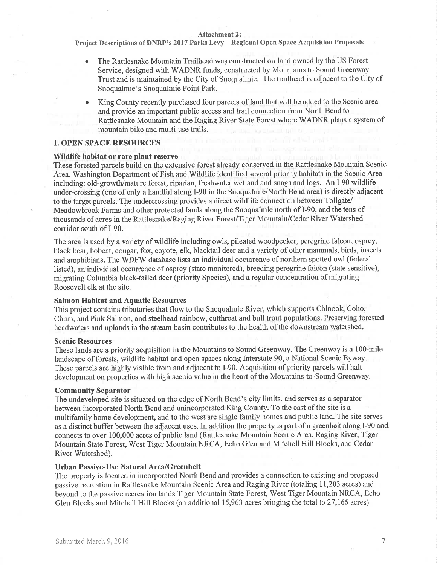Project Descriptions of DNRP's 2017 Parks Levy - Regional Open Space Acquisition Proposals

- . The Rattlesnake Mountain Trailhead was constructed on land owned by the US Forest Service, designed with WADNR funds, constructed by Mountains to Sound Greenway Trust and is maintained'by the City of Snoqualmie. The trailhead is adjacent to the City of Snoquahnie's Snoqualmie Point Patk.
- King County recently purchased four parcels of land that will be added to the Scenic area and provide an important public access and trail connection from North Bend to Rattlesnake Mountain and the Raging River State Forest where WADNR plans a systern of mountain bike and multi-use trails.

# 1. OPEN SPACE RESOTIRCES

# Wildlife habitat or rare plant reserve

These forested parcels build on the extensive forest aheady conserved in the Rattlesnake Mountain Scenic Area. Washington Department of Fish and Wildlife identified seveml priority habitats in the Scenic Area including: old-growth/mature forest, riparian, freshwater wetland and snags and logs. An I-90 wildlife under-crossing (one of only a handful along I-90 in the Snoqualmie/North Bend area) is directly adjacent to the target parcels. Tþe undercrossing provides a direct wildlife connection between Tollgate/ Meadowbrook Fanns and other protected lands along the Snoqualmie north of I-90, and the tens of thousands of acres in the Rattlesnake/Raging River Forest/Tiger Mountain/Cedar River Watershed corridor south of I-90.

The area is used by a variety of wildlife including owls, pileated woodpecker, peregrine falcon, osprey, black bear, bobcat, cougar, fox, coyote, elk, blacktail deer and a variety of other mammals, birds, insects and amphibians. The WDFW database lists an individual occurrence of northern spotted owl (federal listed), an individual occurrence of osprey (state monitored), breeding peregrine falcon (state sensitive), migrating Columbia black-tailed deer (priority Species), and a regular concentration of migrating Roosevelt elk at the site.

#### Salmon Habitat and Aquatic Resources

This project contains tributaries that flow to the Snoquahnie River, which supports Chinook, Coho, Chum, and Pink Salmon, and steelhead rainbow, cutthroat and bull trout populations. Preserving forested headwaters and uplands in the stream basin contributes to the health of the downstream watershed.

### Scenic Resources

These lands are a priority acquisition in the Mountains to Sound Greenway. The Greenway is a 100-mile landscape of forests, wildlife habitat and open spaces along Interstate 90, a National Scenic Byway. These parcels are highly visible from and adjacent to I-90. Acquisition of priority parcels will halt development on properties with high scenic value in the heart of the Mountains-to-Sound Greenway.

#### Community Separator

The undeveloped site is situated on the edge of North Bend's city limits, and serves as a separator between incorporated North Bend and unincorporated King County. To the east of the site is a multifamily home development, and to the west are single family homes and public land. The site serues as a distinct buffer between the adjacent uses. In addition the property is part of a greenbelt along I-90 and connects to over 100,000 acres of public land (Rattlesnake Mountain Scenic Area, Raging River, Tiger Mountain State Forest, West Tiger Mountain NRCA, Echo Glen and Mitchell Hill Blocks, and Cedar River Watershed).

#### Urban Passive-Use Natural Area/Greenbelt

The property is located in incorporated North Bend and provides a connection to existing and proposed passive recreation in Rattlesnake Mountain Scenic Area and Raging River (totaling 11,203 acres) and beyond to the passive recreation lands Tiger Mountain State Forest, West Tiger Mountain NRCA, Echo Glen Blocks and Mitchell Hill Blocks (an additional 15,963 acres bringing the total to 27,166 acres).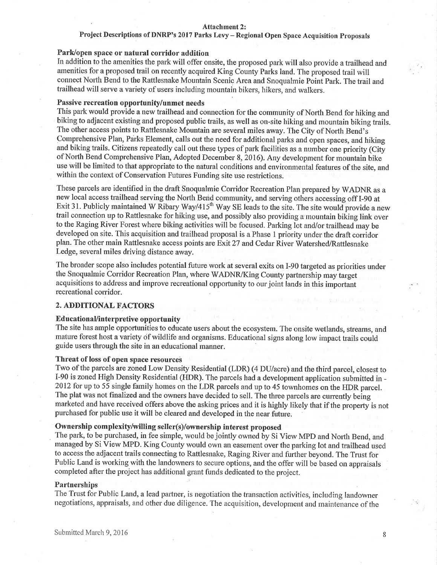# Project Descriptions of DNRP's 2017 Parks Levy - Regional Open Space Acquisition Proposals

#### Park/open space or natural corridor addition

In addition to the amenities the park will offer onsite, the proposed park will also provide a trailhead and amenities for a proposed trail on recently acquired King County Parks land. The proposed trail will connect North Bend to the Rattlesnake Mountain Scenic Area and Snoqualmie Point Park. The trail and trailhead will serve a variety of users including mountain bikers, hikers, and walkers.

# Passive recreation opportunity/unmet needs

This park would provide a new trailhead and connection for the community of North Bend for hiking and biking to adjacent existing and proposed public trails, as well as on-site hiking and mountain biking trails. The other access points to Rattlesnake Mountain are several miles away. The City of North Bend's Comprehensive Plan, Parks Elernent, calls out the need for additional parks and open spaces, and hiking and biking trails. Citizens repeatedly call out these types of park facilities as a number one priority (City of North Bend Comprehensive Plan, Adopted December 8,2016). Any development for mountain bike use will be limited to that appropriate to the natural conditions and environmental features of the site, and within the context of Conservation Futures Funding site use restrictions.

These parcels are identified in the draft Snoqualmie Corridor Recreation Plan prepared by WADNR as a new local access trailhead serving the North Bend community, and serving others accessing off I-90 at Exit 31. Publicly maintained W Ribary Way/415<sup>th</sup> Way SE leads to the site. The site would provide a new trail connection up to Rattlesnake for hiking use, and possibly also providing a mountain biking link over to the Raging River Forest where biking activities will be focused. Parking lot and/or trailhead may be developed on site. This acquisition and trailhead proposal is a Phase 1 priority under the draft corridor plan. The other main Rattlesnake access points are Exit 27 and Cedar River Watershed/Rattlesnake Ledge, several miles driving distance away.

The broader scope also includes potential future work at several exits on I-90 targeted as priorities under the Snoqualmie Corridor Recreation Plan, where WADNR/King County partnership may target acquisitions to address and improve recreational opportunity to our joint lands in this important recreational corridor.

# 2. ADDITIONAL FACTORS

# EducationaUinterpretive opportunity

The site has ample opportunities to educate users about the ecosystem. The onsite wetlands, streams, and mature forest host a variety of wildlife and organisms. Educational signs along low impact trails could guide users through the site in an educational manner.

#### Threat of loss of open space resources

Two of the parcels are zoned Low Density Residential (LDR) (4 DU/acre) and the third parcel, closest to I-90 is zoned High Density Residential (fDR). The parcels had a development application submitted in - 2012 for up to 55 single farnily homes on the LDR parcels and up to 45 townhomes on the HDR parcel. The plat was not finalized and the owners have decided to sell. The three parcels are curently being marketed and have received offers above the asking prices and it is highly likely that if the property is not purchased for public use it will be cleared and developed in the near future.

# Ownership complexity/willing seller(s)/ownership interest proposed

The park, to be purchased, in fee sirnple, would be jointly owned by Si View MPD and North Bend, and managed by Si View MPD. King County would own an easement over the parking lot and trailhead used to access the adjacent trails connecting to Rattlesnake, Raging River and further beyond. The Trust for Public Land is working with the landowners to secure options, and the offer will be based on appraisals completed after the project has additional grant funds dedicated to the project.

#### Partnerships

The Trust for Public Land, a lead partner, is negotiation the transaction activities, including landowner negotiations, appraisals, and other due diligence. The acquisition, development and maintenance of the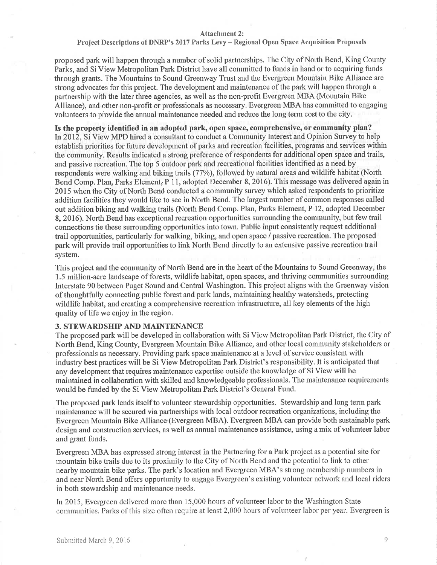Project Descriptions of DI\RP's 2017 Parks Levy - Regional Open Space Acquisition Proposals

proposed park will happen through a number of solid partnerships. The City of North Bend, King County Parks, and Si View Metropolitan Park District have all committed to funds in hand or to acquiring funds through grants. The Mountains to Sound Greenway Trust and the Evergreen Mountain Bike Alliance are strong advocates for this project. The development and tnaintenance of the park will happen through a partnership with the later three agencies, as well as the non-profit Evergreen MBA (Mountain Bike Alliance), and other non-profit or professionals as necessary. Evergreen MBA has committed to engaging volunteers to provide the annual maintenance needed and reduce the long term cost to the city.

Is the property identifred in an adopted park, open space, comprehensive, or community plan? In 2012, Si View MPD hired a consultant to conduct a Community Interest and Opinion Survey to help establish priorities for future development of parks and recreation facilities, programs and services within the community. Results indicated a strong preference of respondents for additional open space and trails, and passive recreation. The top 5 outdoor park and recreational facilities identified as a need by respondents were walking and biking trails (77%), followed by natural areas and wildlife habitat (North Bend Comp. Plan, Parks Element, P 11, adopted December 8, 2016). This message was delivered again in 2015 when the City of North Bend conducted a cornmunity survey which asked respondents to prioritize addition facilities they would like to see in North Bend. The largest number of common responses called out addition biking and walking trails (North Bend Comp. Plan, Parks Element, P 12, adopted December 8, 2016). North Bend has exceptional recreation opportunities surrounding the community, but few trail connections tie these surounding opportunities into town. Public input consistently request additional trail opportunities, particularly for walking, biking, and open space / passive recreation. The proposed park will provide trail opportunities to link North Bend directly to an extensive passive recreation trail system.

This project and the community of North Bend are in the heart of the Mountains to Sound Greenway, the L5 million-acre landscape of forests, wildlife habitat, open spaces, and thriving communities sun'ounding Lrterstate 90 between Puget Sound and Central Washington. This project aligns with the Greenway vision of thoughtfully connecting public forest and park lands, maintaining healthy watersheds, protecting wildlife habitat, and creating a comprehensive recreation infrastructure, all key elements of the high quality of life we enjoy in the region.

# 3. STEWARDSHIP AND MAINTENANCE

The proposed park will be developed in collaboration with Si View Metropolitan Park District, the City of North Bend, King Counfy, Evergreen Mountain Bike Alliance, and other local community stakeholders or professionals as necessary. Providing park space maintenance at a level of service consistent with industry best practices will be Si View Metropolitan Park District's responsibility. It is anticipated that any development that requires maintenance expertise outside the knowledge of Si View will be maintained in collaboration with skilled and knowledgeable professionals. The maintenance requirenents would be funded by the Si View Metropolitan Park District's General Fund.

The proposed park lends itself to volunteer stewardship opportunities. Stewardship and long term park maintenance will be secured via partnerships with local outdoor recreation organizations, including the Evergreen Mountain Bike Alliance (Evergreen MBA). Evergreen MBA can provide both sustainable park design and construction services, as well as annual maintenance assistance, using a mix of volunteer labor and grant funds.

Evergreen MBA has expressed strong interest in the Paftnering for a Park project as a potential site for' mountain bike trails due to its proximity to the City of North Bend and the potential to link to other nearby mountain bike parks. The park's location and Evergreen MBA's strong membership numbers in and near North Bend offers opportunity to engage Evergreen's existing volunteer network and local riders in both stewardship and maintenance needs.

In 2015, Evergreen delivered more than 15,000 hours of volunteer labor to the Washington State communities. Parks of this size often require at least 2,000 hours of volunteer labor per year. Evergreen is